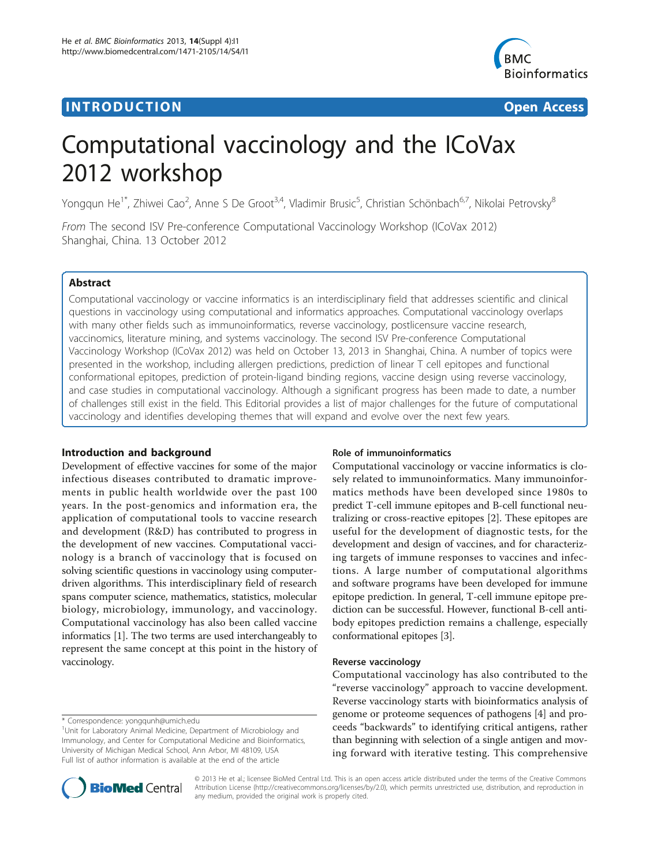## **INTRODUCTION CONSUMING THE CONSUMING TEACHER CONSUMING THE CONSUMING TEACHER CONSUMING THE CONSUMING TEACHER CONSUMING THE CONSUMING TEACHER CONSUMING THE CONSUMING THE CONSUMING THE CONSUMING THE CONSUMING THE CONSUMIN**



# Computational vaccinology and the ICoVax 2012 workshop

Yongqun He<sup>1\*</sup>, Zhiwei Cao<sup>2</sup>, Anne S De Groot<sup>3,4</sup>, Vladimir Brusic<sup>5</sup>, Christian Schönbach<sup>6,7</sup>, Nikolai Petrovsky<sup>8</sup>

From The second ISV Pre-conference Computational Vaccinology Workshop (ICoVax 2012) Shanghai, China. 13 October 2012

## Abstract

Computational vaccinology or vaccine informatics is an interdisciplinary field that addresses scientific and clinical questions in vaccinology using computational and informatics approaches. Computational vaccinology overlaps with many other fields such as immunoinformatics, reverse vaccinology, postlicensure vaccine research, vaccinomics, literature mining, and systems vaccinology. The second ISV Pre-conference Computational Vaccinology Workshop (ICoVax 2012) was held on October 13, 2013 in Shanghai, China. A number of topics were presented in the workshop, including allergen predictions, prediction of linear T cell epitopes and functional conformational epitopes, prediction of protein-ligand binding regions, vaccine design using reverse vaccinology, and case studies in computational vaccinology. Although a significant progress has been made to date, a number of challenges still exist in the field. This Editorial provides a list of major challenges for the future of computational vaccinology and identifies developing themes that will expand and evolve over the next few years.

## Introduction and background

Development of effective vaccines for some of the major infectious diseases contributed to dramatic improvements in public health worldwide over the past 100 years. In the post-genomics and information era, the application of computational tools to vaccine research and development (R&D) has contributed to progress in the development of new vaccines. Computational vaccinology is a branch of vaccinology that is focused on solving scientific questions in vaccinology using computerdriven algorithms. This interdisciplinary field of research spans computer science, mathematics, statistics, molecular biology, microbiology, immunology, and vaccinology. Computational vaccinology has also been called vaccine informatics [\[1\]](#page-4-0). The two terms are used interchangeably to represent the same concept at this point in the history of vaccinology.

## Role of immunoinformatics

Computational vaccinology or vaccine informatics is closely related to immunoinformatics. Many immunoinformatics methods have been developed since 1980s to predict T-cell immune epitopes and B-cell functional neutralizing or cross-reactive epitopes [[2\]](#page-4-0). These epitopes are useful for the development of diagnostic tests, for the development and design of vaccines, and for characterizing targets of immune responses to vaccines and infections. A large number of computational algorithms and software programs have been developed for immune epitope prediction. In general, T-cell immune epitope prediction can be successful. However, functional B-cell antibody epitopes prediction remains a challenge, especially conformational epitopes [[3\]](#page-4-0).

#### Reverse vaccinology

Computational vaccinology has also contributed to the "reverse vaccinology" approach to vaccine development. Reverse vaccinology starts with bioinformatics analysis of genome or proteome sequences of pathogens [[4\]](#page-4-0) and proceeds "backwards" to identifying critical antigens, rather than beginning with selection of a single antigen and moving forward with iterative testing. This comprehensive



© 2013 He et al.; licensee BioMed Central Ltd. This is an open access article distributed under the terms of the Creative Commons Attribution License [\(http://creativecommons.org/licenses/by/2.0](http://creativecommons.org/licenses/by/2.0)), which permits unrestricted use, distribution, and reproduction in any medium, provided the original work is properly cited.

<sup>\*</sup> Correspondence: [yongqunh@umich.edu](mailto:yongqunh@umich.edu)

<sup>&</sup>lt;sup>1</sup>Unit for Laboratory Animal Medicine, Department of Microbiology and Immunology, and Center for Computational Medicine and Bioinformatics, University of Michigan Medical School, Ann Arbor, MI 48109, USA Full list of author information is available at the end of the article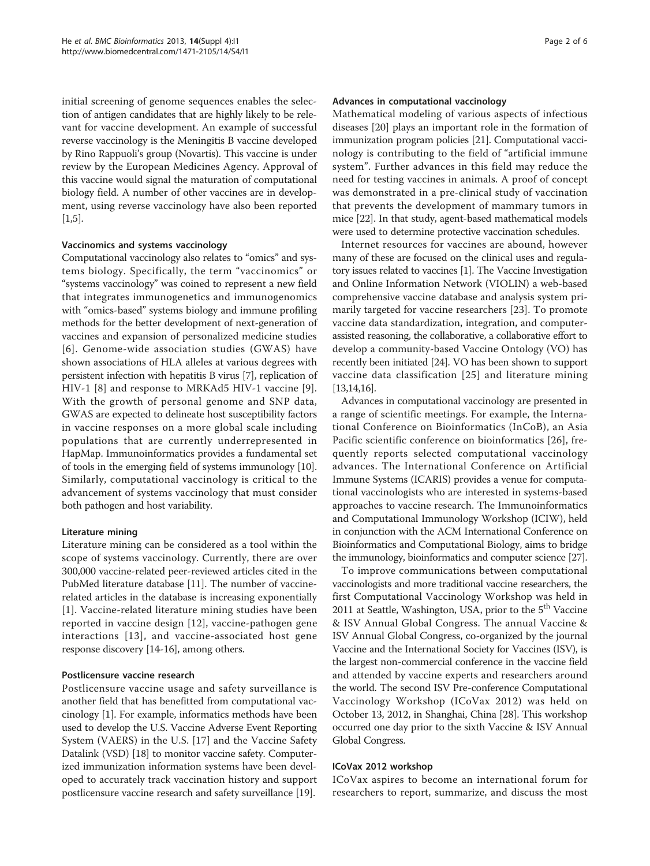initial screening of genome sequences enables the selection of antigen candidates that are highly likely to be relevant for vaccine development. An example of successful reverse vaccinology is the Meningitis B vaccine developed by Rino Rappuoli's group (Novartis). This vaccine is under review by the European Medicines Agency. Approval of this vaccine would signal the maturation of computational biology field. A number of other vaccines are in development, using reverse vaccinology have also been reported  $[1,5]$  $[1,5]$  $[1,5]$ .

### Vaccinomics and systems vaccinology

Computational vaccinology also relates to "omics" and systems biology. Specifically, the term "vaccinomics" or "systems vaccinology" was coined to represent a new field that integrates immunogenetics and immunogenomics with "omics-based" systems biology and immune profiling methods for the better development of next-generation of vaccines and expansion of personalized medicine studies [[6](#page-4-0)]. Genome-wide association studies (GWAS) have shown associations of HLA alleles at various degrees with persistent infection with hepatitis B virus [\[7\]](#page-4-0), replication of HIV-1 [[8\]](#page-4-0) and response to MRKAd5 HIV-1 vaccine [[9](#page-4-0)]. With the growth of personal genome and SNP data, GWAS are expected to delineate host susceptibility factors in vaccine responses on a more global scale including populations that are currently underrepresented in HapMap. Immunoinformatics provides a fundamental set of tools in the emerging field of systems immunology [[10](#page-4-0)]. Similarly, computational vaccinology is critical to the advancement of systems vaccinology that must consider both pathogen and host variability.

#### Literature mining

Literature mining can be considered as a tool within the scope of systems vaccinology. Currently, there are over 300,000 vaccine-related peer-reviewed articles cited in the PubMed literature database [[11](#page-4-0)]. The number of vaccinerelated articles in the database is increasing exponentially [[1](#page-4-0)]. Vaccine-related literature mining studies have been reported in vaccine design [[12](#page-4-0)], vaccine-pathogen gene interactions [[13](#page-4-0)], and vaccine-associated host gene response discovery [\[14-16\]](#page-4-0), among others.

#### Postlicensure vaccine research

Postlicensure vaccine usage and safety surveillance is another field that has benefitted from computational vaccinology [\[1](#page-4-0)]. For example, informatics methods have been used to develop the U.S. Vaccine Adverse Event Reporting System (VAERS) in the U.S. [\[17](#page-4-0)] and the Vaccine Safety Datalink (VSD) [\[18\]](#page-4-0) to monitor vaccine safety. Computerized immunization information systems have been developed to accurately track vaccination history and support postlicensure vaccine research and safety surveillance [\[19\]](#page-4-0).

#### Advances in computational vaccinology

Mathematical modeling of various aspects of infectious diseases [[20\]](#page-4-0) plays an important role in the formation of immunization program policies [[21](#page-4-0)]. Computational vaccinology is contributing to the field of "artificial immune system". Further advances in this field may reduce the need for testing vaccines in animals. A proof of concept was demonstrated in a pre-clinical study of vaccination that prevents the development of mammary tumors in mice [[22](#page-4-0)]. In that study, agent-based mathematical models were used to determine protective vaccination schedules.

Internet resources for vaccines are abound, however many of these are focused on the clinical uses and regulatory issues related to vaccines [[1\]](#page-4-0). The Vaccine Investigation and Online Information Network (VIOLIN) a web-based comprehensive vaccine database and analysis system primarily targeted for vaccine researchers [[23\]](#page-4-0). To promote vaccine data standardization, integration, and computerassisted reasoning, the collaborative, a collaborative effort to develop a community-based Vaccine Ontology (VO) has recently been initiated [\[24](#page-4-0)]. VO has been shown to support vaccine data classification [[25\]](#page-4-0) and literature mining [[13,14,16\]](#page-4-0).

Advances in computational vaccinology are presented in a range of scientific meetings. For example, the International Conference on Bioinformatics (InCoB), an Asia Pacific scientific conference on bioinformatics [[26](#page-4-0)], frequently reports selected computational vaccinology advances. The International Conference on Artificial Immune Systems (ICARIS) provides a venue for computational vaccinologists who are interested in systems-based approaches to vaccine research. The Immunoinformatics and Computational Immunology Workshop (ICIW), held in conjunction with the ACM International Conference on Bioinformatics and Computational Biology, aims to bridge the immunology, bioinformatics and computer science [\[27](#page-4-0)].

To improve communications between computational vaccinologists and more traditional vaccine researchers, the first Computational Vaccinology Workshop was held in 2011 at Seattle, Washington, USA, prior to the  $5<sup>th</sup>$  Vaccine & ISV Annual Global Congress. The annual Vaccine & ISV Annual Global Congress, co-organized by the journal Vaccine and the International Society for Vaccines (ISV), is the largest non-commercial conference in the vaccine field and attended by vaccine experts and researchers around the world. The second ISV Pre-conference Computational Vaccinology Workshop (ICoVax 2012) was held on October 13, 2012, in Shanghai, China [[28\]](#page-4-0). This workshop occurred one day prior to the sixth Vaccine & ISV Annual Global Congress.

#### ICoVax 2012 workshop

ICoVax aspires to become an international forum for researchers to report, summarize, and discuss the most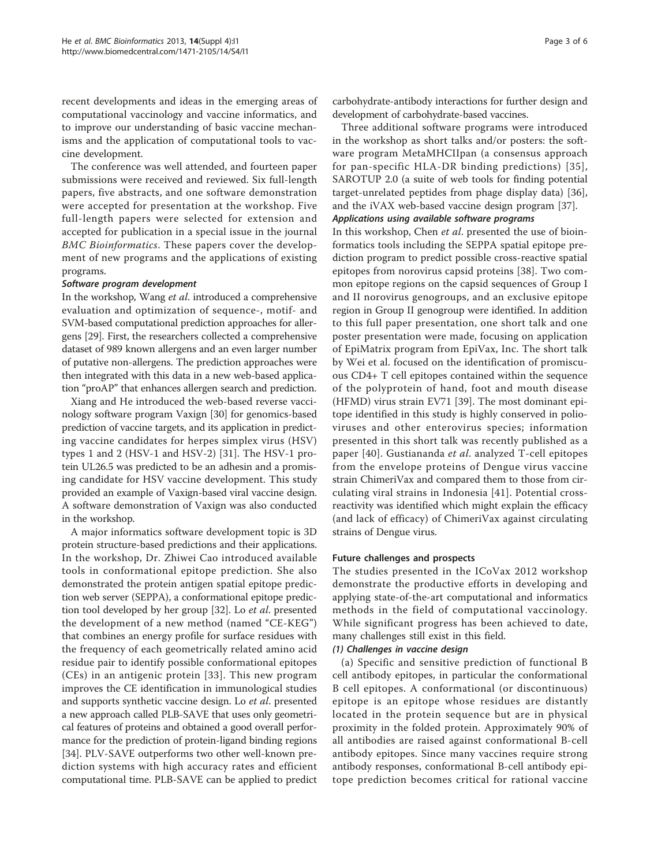recent developments and ideas in the emerging areas of computational vaccinology and vaccine informatics, and to improve our understanding of basic vaccine mechanisms and the application of computational tools to vaccine development.

The conference was well attended, and fourteen paper submissions were received and reviewed. Six full-length papers, five abstracts, and one software demonstration were accepted for presentation at the workshop. Five full-length papers were selected for extension and accepted for publication in a special issue in the journal BMC Bioinformatics. These papers cover the development of new programs and the applications of existing programs.

#### Software program development

In the workshop, Wang et al. introduced a comprehensive evaluation and optimization of sequence-, motif- and SVM-based computational prediction approaches for allergens [[29](#page-4-0)]. First, the researchers collected a comprehensive dataset of 989 known allergens and an even larger number of putative non-allergens. The prediction approaches were then integrated with this data in a new web-based application "proAP" that enhances allergen search and prediction.

Xiang and He introduced the web-based reverse vaccinology software program Vaxign [[30](#page-4-0)] for genomics-based prediction of vaccine targets, and its application in predicting vaccine candidates for herpes simplex virus (HSV) types 1 and 2 (HSV-1 and HSV-2) [\[31](#page-4-0)]. The HSV-1 protein UL26.5 was predicted to be an adhesin and a promising candidate for HSV vaccine development. This study provided an example of Vaxign-based viral vaccine design. A software demonstration of Vaxign was also conducted in the workshop.

A major informatics software development topic is 3D protein structure-based predictions and their applications. In the workshop, Dr. Zhiwei Cao introduced available tools in conformational epitope prediction. She also demonstrated the protein antigen spatial epitope prediction web server (SEPPA), a conformational epitope prediction tool developed by her group [[32](#page-4-0)]. Lo et al. presented the development of a new method (named "CE-KEG") that combines an energy profile for surface residues with the frequency of each geometrically related amino acid residue pair to identify possible conformational epitopes (CEs) in an antigenic protein [[33](#page-4-0)]. This new program improves the CE identification in immunological studies and supports synthetic vaccine design. Lo et al. presented a new approach called PLB-SAVE that uses only geometrical features of proteins and obtained a good overall performance for the prediction of protein-ligand binding regions [[34\]](#page-4-0). PLV-SAVE outperforms two other well-known prediction systems with high accuracy rates and efficient computational time. PLB-SAVE can be applied to predict carbohydrate-antibody interactions for further design and development of carbohydrate-based vaccines.

Three additional software programs were introduced in the workshop as short talks and/or posters: the software program MetaMHCIIpan (a consensus approach for pan-specific HLA-DR binding predictions) [[35\]](#page-4-0), SAROTUP 2.0 (a suite of web tools for finding potential target-unrelated peptides from phage display data) [\[36](#page-4-0)], and the iVAX web-based vaccine design program [\[37](#page-5-0)].

## Applications using available software programs

In this workshop, Chen et al. presented the use of bioinformatics tools including the SEPPA spatial epitope prediction program to predict possible cross-reactive spatial epitopes from norovirus capsid proteins [[38](#page-5-0)]. Two common epitope regions on the capsid sequences of Group I and II norovirus genogroups, and an exclusive epitope region in Group II genogroup were identified. In addition to this full paper presentation, one short talk and one poster presentation were made, focusing on application of EpiMatrix program from EpiVax, Inc. The short talk by Wei et al. focused on the identification of promiscuous CD4+ T cell epitopes contained within the sequence of the polyprotein of hand, foot and mouth disease (HFMD) virus strain EV71 [[39\]](#page-5-0). The most dominant epitope identified in this study is highly conserved in polioviruses and other enterovirus species; information presented in this short talk was recently published as a paper [[40](#page-5-0)]. Gustiananda et al. analyzed T-cell epitopes from the envelope proteins of Dengue virus vaccine strain ChimeriVax and compared them to those from circulating viral strains in Indonesia [\[41\]](#page-5-0). Potential crossreactivity was identified which might explain the efficacy (and lack of efficacy) of ChimeriVax against circulating strains of Dengue virus.

## Future challenges and prospects

The studies presented in the ICoVax 2012 workshop demonstrate the productive efforts in developing and applying state-of-the-art computational and informatics methods in the field of computational vaccinology. While significant progress has been achieved to date, many challenges still exist in this field.

## (1) Challenges in vaccine design

(a) Specific and sensitive prediction of functional B cell antibody epitopes, in particular the conformational B cell epitopes. A conformational (or discontinuous) epitope is an epitope whose residues are distantly located in the protein sequence but are in physical proximity in the folded protein. Approximately 90% of all antibodies are raised against conformational B-cell antibody epitopes. Since many vaccines require strong antibody responses, conformational B-cell antibody epitope prediction becomes critical for rational vaccine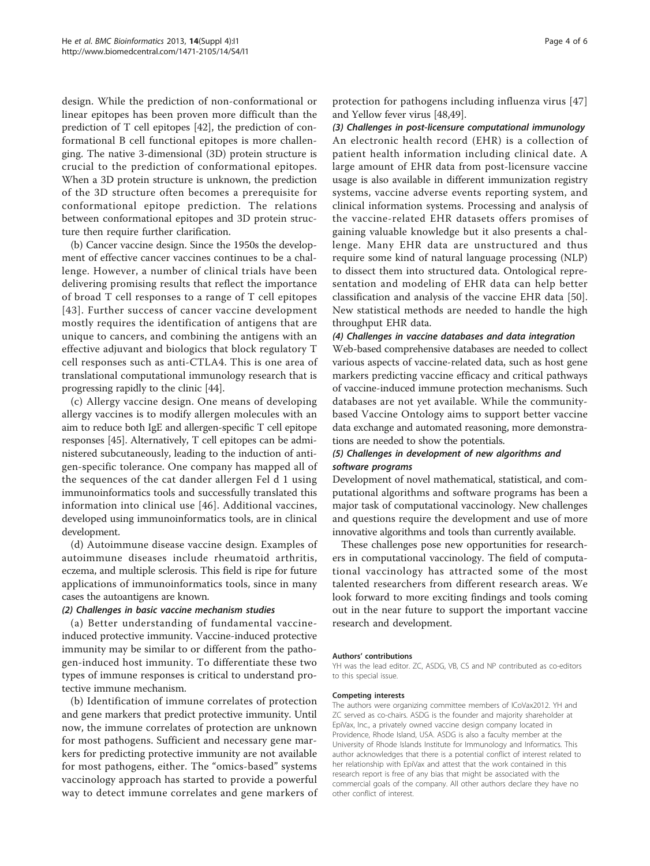design. While the prediction of non-conformational or linear epitopes has been proven more difficult than the prediction of T cell epitopes [[42\]](#page-5-0), the prediction of conformational B cell functional epitopes is more challenging. The native 3-dimensional (3D) protein structure is crucial to the prediction of conformational epitopes. When a 3D protein structure is unknown, the prediction of the 3D structure often becomes a prerequisite for conformational epitope prediction. The relations between conformational epitopes and 3D protein structure then require further clarification.

(b) Cancer vaccine design. Since the 1950s the development of effective cancer vaccines continues to be a challenge. However, a number of clinical trials have been delivering promising results that reflect the importance of broad T cell responses to a range of T cell epitopes [[43\]](#page-5-0). Further success of cancer vaccine development mostly requires the identification of antigens that are unique to cancers, and combining the antigens with an effective adjuvant and biologics that block regulatory T cell responses such as anti-CTLA4. This is one area of translational computational immunology research that is progressing rapidly to the clinic [[44\]](#page-5-0).

(c) Allergy vaccine design. One means of developing allergy vaccines is to modify allergen molecules with an aim to reduce both IgE and allergen-specific T cell epitope responses [[45](#page-5-0)]. Alternatively, T cell epitopes can be administered subcutaneously, leading to the induction of antigen-specific tolerance. One company has mapped all of the sequences of the cat dander allergen Fel d 1 using immunoinformatics tools and successfully translated this information into clinical use [[46](#page-5-0)]. Additional vaccines, developed using immunoinformatics tools, are in clinical development.

(d) Autoimmune disease vaccine design. Examples of autoimmune diseases include rheumatoid arthritis, eczema, and multiple sclerosis. This field is ripe for future applications of immunoinformatics tools, since in many cases the autoantigens are known.

#### (2) Challenges in basic vaccine mechanism studies

(a) Better understanding of fundamental vaccineinduced protective immunity. Vaccine-induced protective immunity may be similar to or different from the pathogen-induced host immunity. To differentiate these two types of immune responses is critical to understand protective immune mechanism.

(b) Identification of immune correlates of protection and gene markers that predict protective immunity. Until now, the immune correlates of protection are unknown for most pathogens. Sufficient and necessary gene markers for predicting protective immunity are not available for most pathogens, either. The "omics-based" systems vaccinology approach has started to provide a powerful way to detect immune correlates and gene markers of protection for pathogens including influenza virus [[47](#page-5-0)] and Yellow fever virus [[48](#page-5-0),[49](#page-5-0)].

(3) Challenges in post-licensure computational immunology An electronic health record (EHR) is a collection of patient health information including clinical date. A large amount of EHR data from post-licensure vaccine usage is also available in different immunization registry systems, vaccine adverse events reporting system, and clinical information systems. Processing and analysis of the vaccine-related EHR datasets offers promises of gaining valuable knowledge but it also presents a challenge. Many EHR data are unstructured and thus require some kind of natural language processing (NLP) to dissect them into structured data. Ontological representation and modeling of EHR data can help better classification and analysis of the vaccine EHR data [\[50](#page-5-0)]. New statistical methods are needed to handle the high throughput EHR data.

#### (4) Challenges in vaccine databases and data integration

Web-based comprehensive databases are needed to collect various aspects of vaccine-related data, such as host gene markers predicting vaccine efficacy and critical pathways of vaccine-induced immune protection mechanisms. Such databases are not yet available. While the communitybased Vaccine Ontology aims to support better vaccine data exchange and automated reasoning, more demonstrations are needed to show the potentials.

## (5) Challenges in development of new algorithms and software programs

Development of novel mathematical, statistical, and computational algorithms and software programs has been a major task of computational vaccinology. New challenges and questions require the development and use of more innovative algorithms and tools than currently available.

These challenges pose new opportunities for researchers in computational vaccinology. The field of computational vaccinology has attracted some of the most talented researchers from different research areas. We look forward to more exciting findings and tools coming out in the near future to support the important vaccine research and development.

#### Authors' contributions

YH was the lead editor. ZC, ASDG, VB, CS and NP contributed as co-editors to this special issue.

#### Competing interests

The authors were organizing committee members of ICoVax2012. YH and ZC served as co-chairs. ASDG is the founder and majority shareholder at EpiVax, Inc., a privately owned vaccine design company located in Providence, Rhode Island, USA. ASDG is also a faculty member at the University of Rhode Islands Institute for Immunology and Informatics. This author acknowledges that there is a potential conflict of interest related to her relationship with EpiVax and attest that the work contained in this research report is free of any bias that might be associated with the commercial goals of the company. All other authors declare they have no other conflict of interest.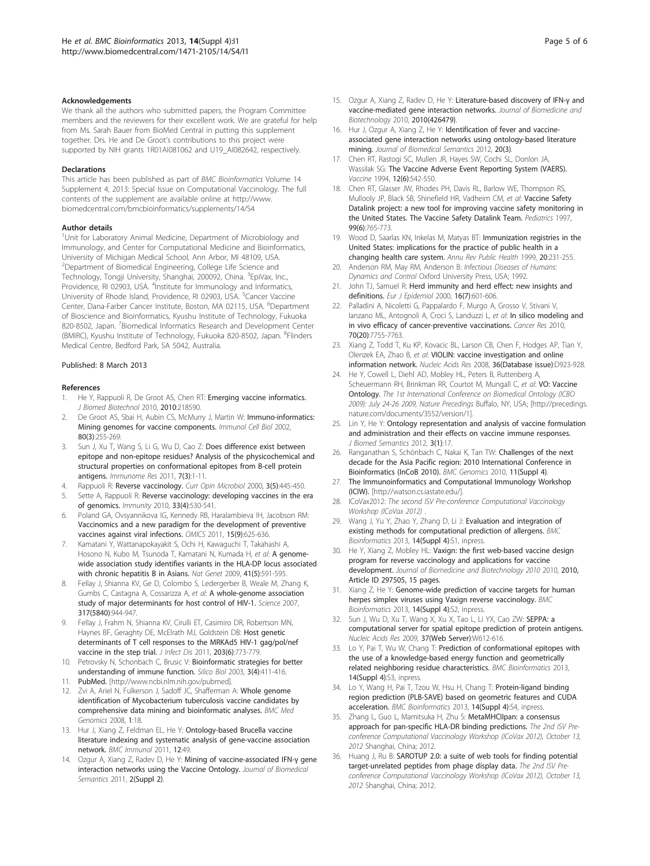#### <span id="page-4-0"></span>Acknowledgements

We thank all the authors who submitted papers, the Program Committee members and the reviewers for their excellent work. We are grateful for help from Ms. Sarah Bauer from BioMed Central in putting this supplement together. Drs. He and De Groot's contributions to this project were supported by NIH grants 1R01AI081062 and U19\_AI082642, respectively.

#### Declarations

This article has been published as part of BMC Bioinformatics Volume 14 Supplement 4, 2013: Special Issue on Computational Vaccinology. The full contents of the supplement are available online at [http://www.](http://www.biomedcentral.com/bmcbioinformatics/supplements/14/S4) [biomedcentral.com/bmcbioinformatics/supplements/14/S4](http://www.biomedcentral.com/bmcbioinformatics/supplements/14/S4)

#### Author details

<sup>1</sup>Unit for Laboratory Animal Medicine, Department of Microbiology and Immunology, and Center for Computational Medicine and Bioinformatics, University of Michigan Medical School, Ann Arbor, MI 48109, USA. <sup>2</sup>Department of Biomedical Engineering, College Life Science and Technology, Tongji University, Shanghai, 200092, China. <sup>3</sup>EpiVax, Inc., Providence, RI 02903, USA. <sup>4</sup>Institute for Immunology and Informatics, University of Rhode Island, Providence, RI 02903, USA. <sup>5</sup>Cancer Vaccine Center, Dana-Farber Cancer Institute, Boston, MA 02115, USA. <sup>6</sup>Department of Bioscience and Bioinformatics, Kyushu Institute of Technology, Fukuoka 820-8502, Japan. <sup>7</sup>Biomedical Informatics Research and Development Center (BMIRC), Kyushu Institute of Technology, Fukuoka 820-8502, Japan. <sup>8</sup>Flinders Medical Centre, Bedford Park, SA 5042, Australia.

#### Published: 8 March 2013

#### References

- 1. He Y, Rappuoli R, De Groot AS, Chen RT: [Emerging vaccine informatics.](http://www.ncbi.nlm.nih.gov/pubmed/21772787?dopt=Abstract) J Biomed Biotechnol 2010, 2010:218590.
- 2. De Groot AS, Sbai H, Aubin CS, McMurry J, Martin W: [Immuno-informatics:](http://www.ncbi.nlm.nih.gov/pubmed/12067413?dopt=Abstract) [Mining genomes for vaccine components.](http://www.ncbi.nlm.nih.gov/pubmed/12067413?dopt=Abstract) Immunol Cell Biol 2002, 80(3):255-269.
- Sun J, Xu T, Wang S, Li G, Wu D, Cao Z: [Does difference exist between](http://www.ncbi.nlm.nih.gov/pubmed/22126823?dopt=Abstract) [epitope and non-epitope residues? Analysis of the physicochemical and](http://www.ncbi.nlm.nih.gov/pubmed/22126823?dopt=Abstract) [structural properties on conformational epitopes from B-cell protein](http://www.ncbi.nlm.nih.gov/pubmed/22126823?dopt=Abstract) [antigens.](http://www.ncbi.nlm.nih.gov/pubmed/22126823?dopt=Abstract) Immunome Res 2011, 7(3):1-11.
- 4. Rappuoli R: [Reverse vaccinology.](http://www.ncbi.nlm.nih.gov/pubmed/11050440?dopt=Abstract) Curr Opin Microbiol 2000, 3(5):445-450.
- 5. Sette A, Rappuoli R: [Reverse vaccinology: developing vaccines in the era](http://www.ncbi.nlm.nih.gov/pubmed/21029963?dopt=Abstract) [of genomics.](http://www.ncbi.nlm.nih.gov/pubmed/21029963?dopt=Abstract) Immunity 2010, 33(4):530-541.
- 6. Poland GA, Ovsyannikova IG, Kennedy RB, Haralambieva IH, Jacobson RM: [Vaccinomics and a new paradigm for the development of preventive](http://www.ncbi.nlm.nih.gov/pubmed/21732819?dopt=Abstract) [vaccines against viral infections.](http://www.ncbi.nlm.nih.gov/pubmed/21732819?dopt=Abstract) OMICS 2011, 15(9):625-636.
- 7. Kamatani Y, Wattanapokayakit S, Ochi H, Kawaguchi T, Takahashi A, Hosono N, Kubo M, Tsunoda T, Kamatani N, Kumada H, et al: [A genome](http://www.ncbi.nlm.nih.gov/pubmed/19349983?dopt=Abstract)[wide association study identifies variants in the HLA-DP locus associated](http://www.ncbi.nlm.nih.gov/pubmed/19349983?dopt=Abstract) [with chronic hepatitis B in Asians.](http://www.ncbi.nlm.nih.gov/pubmed/19349983?dopt=Abstract) Nat Genet 2009, 41(5):591-595.
- Fellay J, Shianna KV, Ge D, Colombo S, Ledergerber B, Weale M, Zhang K, Gumbs C, Castagna A, Cossarizza A, et al: [A whole-genome association](http://www.ncbi.nlm.nih.gov/pubmed/17641165?dopt=Abstract) [study of major determinants for host control of HIV-1.](http://www.ncbi.nlm.nih.gov/pubmed/17641165?dopt=Abstract) Science 2007, 317(5840):944-947.
- 9. Fellay J, Frahm N, Shianna KV, Cirulli ET, Casimiro DR, Robertson MN, Haynes BF, Geraghty DE, McElrath MJ, Goldstein DB: [Host genetic](http://www.ncbi.nlm.nih.gov/pubmed/21278214?dopt=Abstract) [determinants of T cell responses to the MRKAd5 HIV-1 gag/pol/nef](http://www.ncbi.nlm.nih.gov/pubmed/21278214?dopt=Abstract) [vaccine in the step trial.](http://www.ncbi.nlm.nih.gov/pubmed/21278214?dopt=Abstract) J Infect Dis 2011, 203(6):773-779.
- 10. Petrovsky N, Schonbach C, Brusic V: [Bioinformatic strategies for better](http://www.ncbi.nlm.nih.gov/pubmed/12954084?dopt=Abstract) [understanding of immune function.](http://www.ncbi.nlm.nih.gov/pubmed/12954084?dopt=Abstract) Silico Biol 2003, 3(4):411-416.
- 11. PubMed. [\[http://www.ncbi.nlm.nih.gov/pubmed\]](http://www.ncbi.nlm.nih.gov/pubmed).
- 12. Zvi A, Ariel N, Fulkerson J, Sadoff JC, Shafferman A: [Whole genome](http://www.ncbi.nlm.nih.gov/pubmed/18505592?dopt=Abstract) [identification of Mycobacterium tuberculosis vaccine candidates by](http://www.ncbi.nlm.nih.gov/pubmed/18505592?dopt=Abstract) [comprehensive data mining and bioinformatic analyses.](http://www.ncbi.nlm.nih.gov/pubmed/18505592?dopt=Abstract) BMC Med Genomics 2008, 1:18.
- 13. Hur J, Xiang Z, Feldman EL, He Y: [Ontology-based Brucella vaccine](http://www.ncbi.nlm.nih.gov/pubmed/21871085?dopt=Abstract) [literature indexing and systematic analysis of gene-vaccine association](http://www.ncbi.nlm.nih.gov/pubmed/21871085?dopt=Abstract) [network.](http://www.ncbi.nlm.nih.gov/pubmed/21871085?dopt=Abstract) BMC Immunol 2011, 12:49.
- 14. Ozgur A, Xiang Z, Radev D, He Y: [Mining of vaccine-associated IFN-](http://www.ncbi.nlm.nih.gov/pubmed/21624163?dopt=Abstract)γ gene [interaction networks using the Vaccine Ontology.](http://www.ncbi.nlm.nih.gov/pubmed/21624163?dopt=Abstract) Journal of Biomedical Semantics 2011, 2(Suppl 2).
- 15. Ozgur A, Xiang Z, Radev D, He Y: [Literature-based discovery of IFN-](http://www.ncbi.nlm.nih.gov/pubmed/20625487?dopt=Abstract)y and [vaccine-mediated gene interaction networks.](http://www.ncbi.nlm.nih.gov/pubmed/20625487?dopt=Abstract) Journal of Biomedicine and Biotechnology 2010, 2010(426479).
- 16. Hur J, Ozgur A, Xiang Z, He Y: [Identification of fever and vaccine](http://www.ncbi.nlm.nih.gov/pubmed/23256563?dopt=Abstract)[associated gene interaction networks using ontology-based literature](http://www.ncbi.nlm.nih.gov/pubmed/23256563?dopt=Abstract) [mining.](http://www.ncbi.nlm.nih.gov/pubmed/23256563?dopt=Abstract) Journal of Biomedical Semantics 2012, 20(3).
- 17. Chen RT, Rastogi SC, Mullen JR, Hayes SW, Cochi SL, Donlon JA, Wassilak SG: [The Vaccine Adverse Event Reporting System \(VAERS\).](http://www.ncbi.nlm.nih.gov/pubmed/8036829?dopt=Abstract) Vaccine 1994, 12(6):542-550.
- 18. Chen RT, Glasser JW, Rhodes PH, Davis RL, Barlow WE, Thompson RS, Mullooly JP, Black SB, Shinefield HR, Vadheim CM, et al: [Vaccine Safety](http://www.ncbi.nlm.nih.gov/pubmed/9164767?dopt=Abstract) [Datalink project: a new tool for improving vaccine safety monitoring in](http://www.ncbi.nlm.nih.gov/pubmed/9164767?dopt=Abstract) [the United States. The Vaccine Safety Datalink Team.](http://www.ncbi.nlm.nih.gov/pubmed/9164767?dopt=Abstract) Pediatrics 1997, 99(6):765-773.
- 19. Wood D, Saarlas KN, Inkelas M, Matyas BT: [Immunization registries in the](http://www.ncbi.nlm.nih.gov/pubmed/10352858?dopt=Abstract) [United States: implications for the practice of public health in a](http://www.ncbi.nlm.nih.gov/pubmed/10352858?dopt=Abstract) [changing health care system.](http://www.ncbi.nlm.nih.gov/pubmed/10352858?dopt=Abstract) Annu Rev Public Health 1999, 20:231-255.
- 20. Anderson RM, May RM, Anderson B: Infectious Diseases of Humans: Dynamics and Control Oxford University Press, USA; 1992.
- 21. John TJ, Samuel R: [Herd immunity and herd effect: new insights and](http://www.ncbi.nlm.nih.gov/pubmed/11078115?dopt=Abstract) [definitions.](http://www.ncbi.nlm.nih.gov/pubmed/11078115?dopt=Abstract) Eur J Epidemiol 2000, 16(7):601-606.
- 22. Palladini A, Nicoletti G, Pappalardo F, Murgo A, Grosso V, Stivani V, Ianzano ML, Antognoli A, Croci S, Landuzzi L, et al: [In silico modeling and](http://www.ncbi.nlm.nih.gov/pubmed/20924100?dopt=Abstract) [in vivo efficacy of cancer-preventive vaccinations.](http://www.ncbi.nlm.nih.gov/pubmed/20924100?dopt=Abstract) Cancer Res 2010, 70(20):7755-7763.
- 23. Xiang Z, Todd T, Ku KP, Kovacic BL, Larson CB, Chen F, Hodges AP, Tian Y, Olenzek EA, Zhao B, et al: [VIOLIN: vaccine investigation and online](http://www.ncbi.nlm.nih.gov/pubmed/18025042?dopt=Abstract) [information network.](http://www.ncbi.nlm.nih.gov/pubmed/18025042?dopt=Abstract) Nucleic Acids Res 2008, 36(Database issue):D923-928.
- 24. He Y, Cowell L, Diehl AD, Mobley HL, Peters B, Ruttenberg A, Scheuermann RH, Brinkman RR, Courtot M, Mungall C, et al: VO: Vaccine Ontology. The 1st International Conference on Biomedical Ontology (ICBO 2009): July 24-26 2009, Nature Precedings Buffalo, NY, USA; [\[http://precedings.](http://precedings.nature.com/documents/3552/version/1) [nature.com/documents/3552/version/1\]](http://precedings.nature.com/documents/3552/version/1).
- 25. Lin Y, He Y: [Ontology representation and analysis of vaccine formulation](http://www.ncbi.nlm.nih.gov/pubmed/23256535?dopt=Abstract) [and administration and their effects on vaccine immune responses.](http://www.ncbi.nlm.nih.gov/pubmed/23256535?dopt=Abstract) J Biomed Semantics 2012, 3(1):17.
- 26. Ranganathan S, Schönbach C, Nakai K, Tan TW: [Challenges of the next](http://www.ncbi.nlm.nih.gov/pubmed/21143792?dopt=Abstract) [decade for the Asia Pacific region: 2010 International Conference in](http://www.ncbi.nlm.nih.gov/pubmed/21143792?dopt=Abstract) [Bioinformatics \(InCoB 2010\).](http://www.ncbi.nlm.nih.gov/pubmed/21143792?dopt=Abstract) BMC Genomics 2010, 11(Suppl 4).
- 27. The Immunoinformatics and Computational Immunology Workshop (ICIW). [[http://watson.cs.iastate.edu/\]](http://watson.cs.iastate.edu/).
- 28. ICoVax2012: The second ISV Pre-conference Computational Vaccinology Workshop (ICoVax 2012)
- 29. Wang J, Yu Y, Zhao Y, Zhang D, Li J: [Evaluation and integration of](http://www.ncbi.nlm.nih.gov/pubmed/23369147?dopt=Abstract) [existing methods for computational prediction of allergens.](http://www.ncbi.nlm.nih.gov/pubmed/23369147?dopt=Abstract) BMC Bioinformatics 2013, 14(Suppl 4):S1, inpress.
- 30. He Y, Xiang Z, Mobley HL: [Vaxign: the first web-based vaccine design](http://www.ncbi.nlm.nih.gov/pubmed/20671958?dopt=Abstract) [program for reverse vaccinology and applications for vaccine](http://www.ncbi.nlm.nih.gov/pubmed/20671958?dopt=Abstract) [development.](http://www.ncbi.nlm.nih.gov/pubmed/20671958?dopt=Abstract) Journal of Biomedicine and Biotechnology 2010 2010, 2010, Article ID 297505, 15 pages.
- 31. Xiang Z, He Y: [Genome-wide prediction of vaccine targets for human](http://www.ncbi.nlm.nih.gov/pubmed/23368899?dopt=Abstract) [herpes simplex viruses using Vaxign reverse vaccinology.](http://www.ncbi.nlm.nih.gov/pubmed/23368899?dopt=Abstract) BMC Bioinformatics 2013, 14(Suppl 4):S2, inpress.
- 32. Sun J, Wu D, Xu T, Wang X, Xu X, Tao L, Li YX, Cao ZW: [SEPPA: a](http://www.ncbi.nlm.nih.gov/pubmed/19465377?dopt=Abstract) [computational server for spatial epitope prediction of protein antigens.](http://www.ncbi.nlm.nih.gov/pubmed/19465377?dopt=Abstract) Nucleic Acids Res 2009, 37(Web Server):W612-616.
- 33. Lo Y, Pai T, Wu W, Chang T: [Prediction of conformational epitopes with](http://www.ncbi.nlm.nih.gov/pubmed/23369080?dopt=Abstract) [the use of a knowledge-based energy function and geometrically](http://www.ncbi.nlm.nih.gov/pubmed/23369080?dopt=Abstract) [related neighboring residue characteristics.](http://www.ncbi.nlm.nih.gov/pubmed/23369080?dopt=Abstract) BMC Bioinformatics 2013, 14(Suppl 4):S3, inpress.
- 34. Lo Y, Wang H, Pai T, Tzou W, Hsu H, Chang T: [Protein-ligand binding](http://www.ncbi.nlm.nih.gov/pubmed/23369107?dopt=Abstract) [region prediction \(PLB-SAVE\) based on geometric features and CUDA](http://www.ncbi.nlm.nih.gov/pubmed/23369107?dopt=Abstract) [acceleration.](http://www.ncbi.nlm.nih.gov/pubmed/23369107?dopt=Abstract) BMC Bioinformatics 2013, 14(Suppl 4):S4, inpress.
- 35. Zhang L, Guo L, Mamitsuka H, Zhu S: MetaMHCIIpan: a consensus approach for pan-specific HLA-DR binding predictions. The 2nd ISV Preconference Computational Vaccinology Workshop (ICoVax 2012), October 13, 2012 Shanghai, China; 2012.
- 36. Huang J, Ru B: SAROTUP 2.0: a suite of web tools for finding potential target-unrelated peptides from phage display data. The 2nd ISV Preconference Computational Vaccinology Workshop (ICoVax 2012), October 13, 2012 Shanghai, China; 2012.